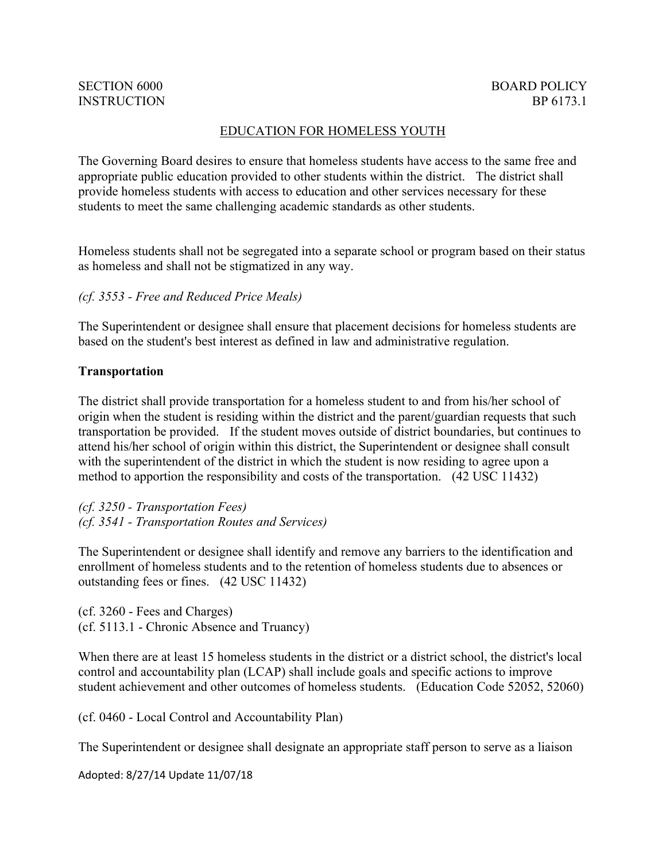## SECTION 6000 **INSTRUCTION**

### EDUCATION FOR HOMELESS YOUTH

The Governing Board desires to ensure that homeless students have access to the same free and appropriate public education provided to other students within the district. The district shall provide homeless students with access to education and other services necessary for these students to meet the same challenging academic standards as other students.

Homeless students shall not be segregated into a separate school or program based on their status as homeless and shall not be stigmatized in any way.

#### *(cf. 3553 - Free and Reduced Price Meals)*

The Superintendent or designee shall ensure that placement decisions for homeless students are based on the student's best interest as defined in law and administrative regulation.

#### **Transportation**

The district shall provide transportation for a homeless student to and from his/her school of origin when the student is residing within the district and the parent/guardian requests that such transportation be provided. If the student moves outside of district boundaries, but continues to attend his/her school of origin within this district, the Superintendent or designee shall consult with the superintendent of the district in which the student is now residing to agree upon a method to apportion the responsibility and costs of the transportation. (42 USC 11432)

*(cf. 3250 - Transportation Fees) (cf. 3541 - Transportation Routes and Services)*

The Superintendent or designee shall identify and remove any barriers to the identification and enrollment of homeless students and to the retention of homeless students due to absences or outstanding fees or fines. (42 USC 11432)

(cf. 3260 - Fees and Charges) (cf. 5113.1 - Chronic Absence and Truancy)

When there are at least 15 homeless students in the district or a district school, the district's local control and accountability plan (LCAP) shall include goals and specific actions to improve student achievement and other outcomes of homeless students. (Education Code 52052, 52060)

(cf. 0460 - Local Control and Accountability Plan)

The Superintendent or designee shall designate an appropriate staff person to serve as a liaison

Adopted: 8/27/14 Update 11/07/18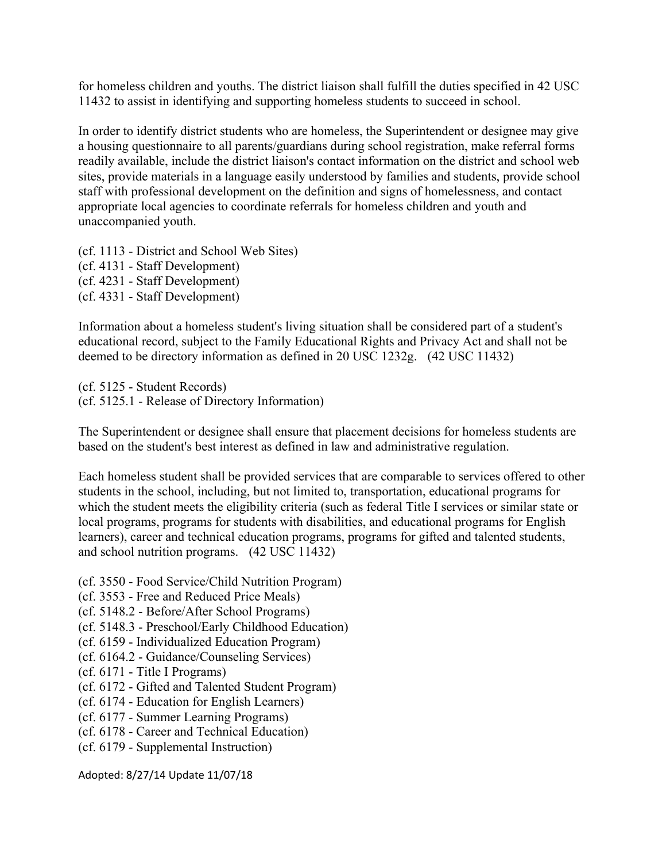for homeless children and youths. The district liaison shall fulfill the duties specified in 42 USC 11432 to assist in identifying and supporting homeless students to succeed in school.

In order to identify district students who are homeless, the Superintendent or designee may give a housing questionnaire to all parents/guardians during school registration, make referral forms readily available, include the district liaison's contact information on the district and school web sites, provide materials in a language easily understood by families and students, provide school staff with professional development on the definition and signs of homelessness, and contact appropriate local agencies to coordinate referrals for homeless children and youth and unaccompanied youth.

(cf. 1113 - District and School Web Sites) (cf. 4131 - Staff Development) (cf. 4231 - Staff Development) (cf. 4331 - Staff Development)

Information about a homeless student's living situation shall be considered part of a student's educational record, subject to the Family Educational Rights and Privacy Act and shall not be deemed to be directory information as defined in 20 USC 1232g. (42 USC 11432)

(cf. 5125 - Student Records) (cf. 5125.1 - Release of Directory Information)

The Superintendent or designee shall ensure that placement decisions for homeless students are based on the student's best interest as defined in law and administrative regulation.

Each homeless student shall be provided services that are comparable to services offered to other students in the school, including, but not limited to, transportation, educational programs for which the student meets the eligibility criteria (such as federal Title I services or similar state or local programs, programs for students with disabilities, and educational programs for English learners), career and technical education programs, programs for gifted and talented students, and school nutrition programs. (42 USC 11432)

- (cf. 3550 Food Service/Child Nutrition Program)
- (cf. 3553 Free and Reduced Price Meals)
- (cf. 5148.2 Before/After School Programs)
- (cf. 5148.3 Preschool/Early Childhood Education)
- (cf. 6159 Individualized Education Program)
- (cf. 6164.2 Guidance/Counseling Services)
- (cf. 6171 Title I Programs)
- (cf. 6172 Gifted and Talented Student Program)
- (cf. 6174 Education for English Learners)
- (cf. 6177 Summer Learning Programs)
- (cf. 6178 Career and Technical Education)
- (cf. 6179 Supplemental Instruction)

Adopted: 8/27/14 Update 11/07/18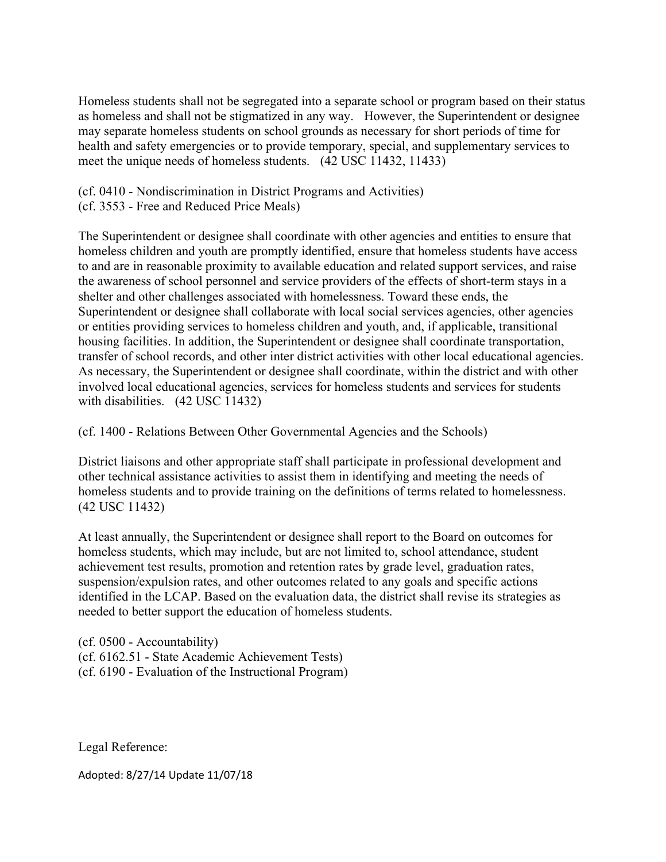Homeless students shall not be segregated into a separate school or program based on their status as homeless and shall not be stigmatized in any way. However, the Superintendent or designee may separate homeless students on school grounds as necessary for short periods of time for health and safety emergencies or to provide temporary, special, and supplementary services to meet the unique needs of homeless students. (42 USC 11432, 11433)

(cf. 0410 - Nondiscrimination in District Programs and Activities)

(cf. 3553 - Free and Reduced Price Meals)

The Superintendent or designee shall coordinate with other agencies and entities to ensure that homeless children and youth are promptly identified, ensure that homeless students have access to and are in reasonable proximity to available education and related support services, and raise the awareness of school personnel and service providers of the effects of short-term stays in a shelter and other challenges associated with homelessness. Toward these ends, the Superintendent or designee shall collaborate with local social services agencies, other agencies or entities providing services to homeless children and youth, and, if applicable, transitional housing facilities. In addition, the Superintendent or designee shall coordinate transportation, transfer of school records, and other inter district activities with other local educational agencies. As necessary, the Superintendent or designee shall coordinate, within the district and with other involved local educational agencies, services for homeless students and services for students with disabilities. (42 USC 11432)

(cf. 1400 - Relations Between Other Governmental Agencies and the Schools)

District liaisons and other appropriate staff shall participate in professional development and other technical assistance activities to assist them in identifying and meeting the needs of homeless students and to provide training on the definitions of terms related to homelessness. (42 USC 11432)

At least annually, the Superintendent or designee shall report to the Board on outcomes for homeless students, which may include, but are not limited to, school attendance, student achievement test results, promotion and retention rates by grade level, graduation rates, suspension/expulsion rates, and other outcomes related to any goals and specific actions identified in the LCAP. Based on the evaluation data, the district shall revise its strategies as needed to better support the education of homeless students.

(cf. 0500 - Accountability) (cf. 6162.51 - State Academic Achievement Tests) (cf. 6190 - Evaluation of the Instructional Program)

Legal Reference:

Adopted: 8/27/14 Update 11/07/18